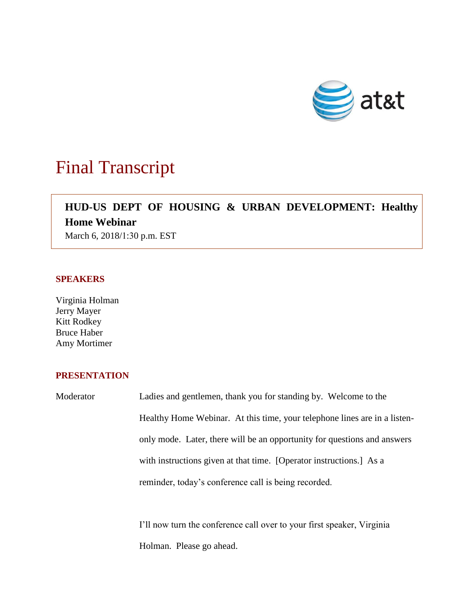

## Final Transcript

### **HUD-US DEPT OF HOUSING & URBAN DEVELOPMENT: Healthy Home Webinar**

March 6, 2018/1:30 p.m. EST

#### **SPEAKERS**

Virginia Holman Jerry Mayer Kitt Rodkey Bruce Haber Amy Mortimer

#### **PRESENTATION**

Moderator Ladies and gentlemen, thank you for standing by. Welcome to the Healthy Home Webinar. At this time, your telephone lines are in a listenonly mode. Later, there will be an opportunity for questions and answers with instructions given at that time. [Operator instructions.] As a reminder, today's conference call is being recorded.

> I'll now turn the conference call over to your first speaker, Virginia Holman. Please go ahead.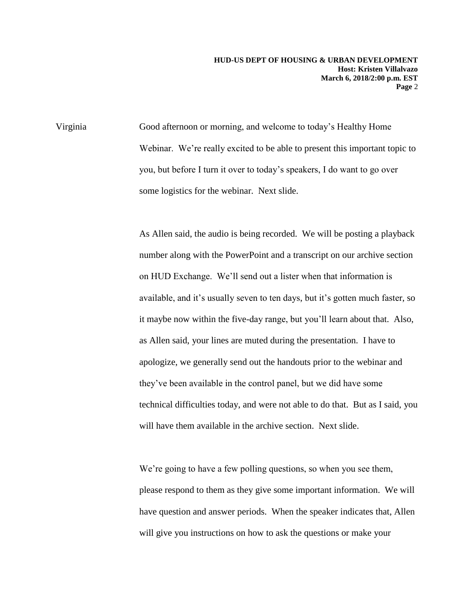Virginia Good afternoon or morning, and welcome to today's Healthy Home Webinar. We're really excited to be able to present this important topic to you, but before I turn it over to today's speakers, I do want to go over some logistics for the webinar. Next slide.

> As Allen said, the audio is being recorded. We will be posting a playback number along with the PowerPoint and a transcript on our archive section on HUD Exchange. We'll send out a lister when that information is available, and it's usually seven to ten days, but it's gotten much faster, so it maybe now within the five-day range, but you'll learn about that. Also, as Allen said, your lines are muted during the presentation. I have to apologize, we generally send out the handouts prior to the webinar and they've been available in the control panel, but we did have some technical difficulties today, and were not able to do that. But as I said, you will have them available in the archive section. Next slide.

We're going to have a few polling questions, so when you see them, please respond to them as they give some important information. We will have question and answer periods. When the speaker indicates that, Allen will give you instructions on how to ask the questions or make your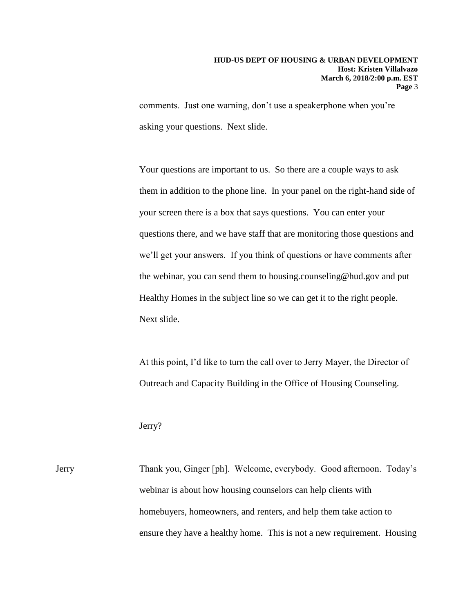comments. Just one warning, don't use a speakerphone when you're asking your questions. Next slide.

Your questions are important to us. So there are a couple ways to ask them in addition to the phone line. In your panel on the right-hand side of your screen there is a box that says questions. You can enter your questions there, and we have staff that are monitoring those questions and we'll get your answers. If you think of questions or have comments after the webinar, you can send them to housing.counseling@hud.gov and put Healthy Homes in the subject line so we can get it to the right people. Next slide.

At this point, I'd like to turn the call over to Jerry Mayer, the Director of Outreach and Capacity Building in the Office of Housing Counseling.

#### Jerry?

Jerry Thank you, Ginger [ph]. Welcome, everybody. Good afternoon. Today's webinar is about how housing counselors can help clients with homebuyers, homeowners, and renters, and help them take action to ensure they have a healthy home. This is not a new requirement. Housing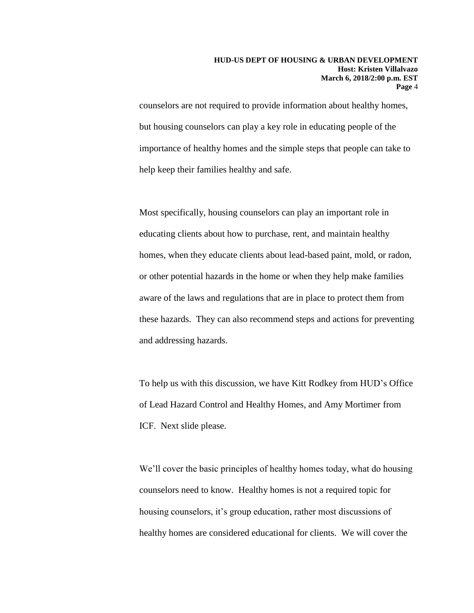counselors are not required to provide information about healthy homes, but housing counselors can play a key role in educating people of the importance of healthy homes and the simple steps that people can take to help keep their families healthy and safe.

Most specifically, housing counselors can play an important role in educating clients about how to purchase, rent, and maintain healthy homes, when they educate clients about lead-based paint, mold, or radon, or other potential hazards in the home or when they help make families aware of the laws and regulations that are in place to protect them from these hazards. They can also recommend steps and actions for preventing and addressing hazards.

To help us with this discussion, we have Kitt Rodkey from HUD's Office of Lead Hazard Control and Healthy Homes, and Amy Mortimer from ICF. Next slide please.

We'll cover the basic principles of healthy homes today, what do housing counselors need to know. Healthy homes is not a required topic for housing counselors, it's group education, rather most discussions of healthy homes are considered educational for clients. We will cover the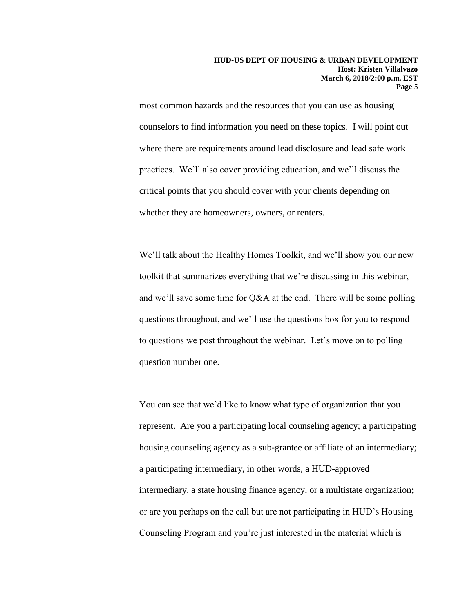most common hazards and the resources that you can use as housing counselors to find information you need on these topics. I will point out where there are requirements around lead disclosure and lead safe work practices. We'll also cover providing education, and we'll discuss the critical points that you should cover with your clients depending on whether they are homeowners, owners, or renters.

We'll talk about the Healthy Homes Toolkit, and we'll show you our new toolkit that summarizes everything that we're discussing in this webinar, and we'll save some time for Q&A at the end. There will be some polling questions throughout, and we'll use the questions box for you to respond to questions we post throughout the webinar. Let's move on to polling question number one.

You can see that we'd like to know what type of organization that you represent. Are you a participating local counseling agency; a participating housing counseling agency as a sub-grantee or affiliate of an intermediary; a participating intermediary, in other words, a HUD-approved intermediary, a state housing finance agency, or a multistate organization; or are you perhaps on the call but are not participating in HUD's Housing Counseling Program and you're just interested in the material which is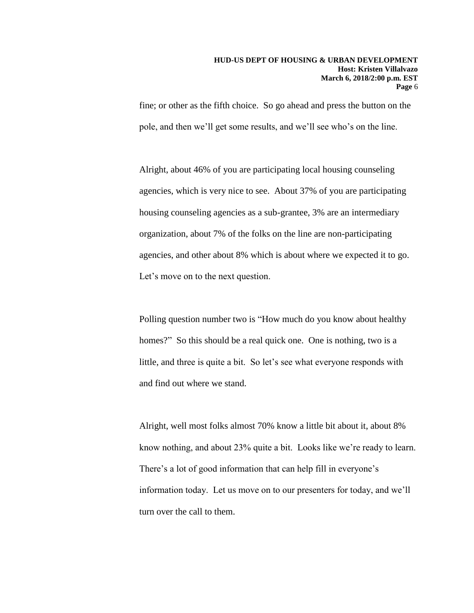fine; or other as the fifth choice. So go ahead and press the button on the pole, and then we'll get some results, and we'll see who's on the line.

Alright, about 46% of you are participating local housing counseling agencies, which is very nice to see. About 37% of you are participating housing counseling agencies as a sub-grantee, 3% are an intermediary organization, about 7% of the folks on the line are non-participating agencies, and other about 8% which is about where we expected it to go. Let's move on to the next question.

Polling question number two is "How much do you know about healthy homes?" So this should be a real quick one. One is nothing, two is a little, and three is quite a bit. So let's see what everyone responds with and find out where we stand.

Alright, well most folks almost 70% know a little bit about it, about 8% know nothing, and about 23% quite a bit. Looks like we're ready to learn. There's a lot of good information that can help fill in everyone's information today. Let us move on to our presenters for today, and we'll turn over the call to them.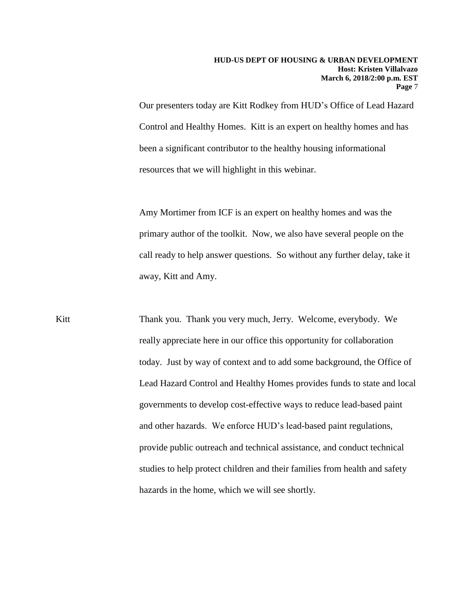Our presenters today are Kitt Rodkey from HUD's Office of Lead Hazard Control and Healthy Homes. Kitt is an expert on healthy homes and has been a significant contributor to the healthy housing informational resources that we will highlight in this webinar.

Amy Mortimer from ICF is an expert on healthy homes and was the primary author of the toolkit. Now, we also have several people on the call ready to help answer questions. So without any further delay, take it away, Kitt and Amy.

Kitt Thank you. Thank you very much, Jerry. Welcome, everybody. We really appreciate here in our office this opportunity for collaboration today. Just by way of context and to add some background, the Office of Lead Hazard Control and Healthy Homes provides funds to state and local governments to develop cost-effective ways to reduce lead-based paint and other hazards. We enforce HUD's lead-based paint regulations, provide public outreach and technical assistance, and conduct technical studies to help protect children and their families from health and safety hazards in the home, which we will see shortly.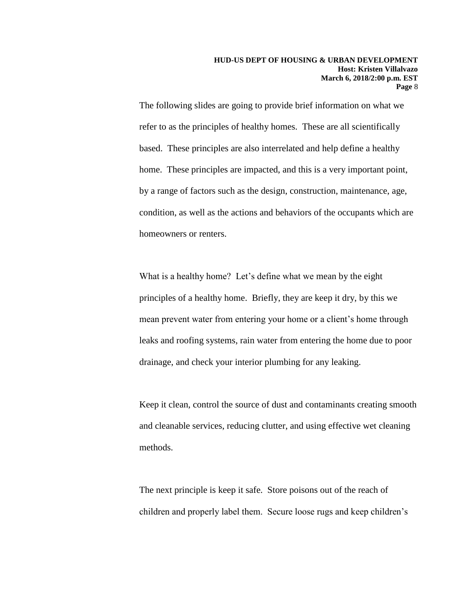The following slides are going to provide brief information on what we refer to as the principles of healthy homes. These are all scientifically based. These principles are also interrelated and help define a healthy home. These principles are impacted, and this is a very important point, by a range of factors such as the design, construction, maintenance, age, condition, as well as the actions and behaviors of the occupants which are homeowners or renters.

What is a healthy home? Let's define what we mean by the eight principles of a healthy home. Briefly, they are keep it dry, by this we mean prevent water from entering your home or a client's home through leaks and roofing systems, rain water from entering the home due to poor drainage, and check your interior plumbing for any leaking.

Keep it clean, control the source of dust and contaminants creating smooth and cleanable services, reducing clutter, and using effective wet cleaning methods.

The next principle is keep it safe. Store poisons out of the reach of children and properly label them. Secure loose rugs and keep children's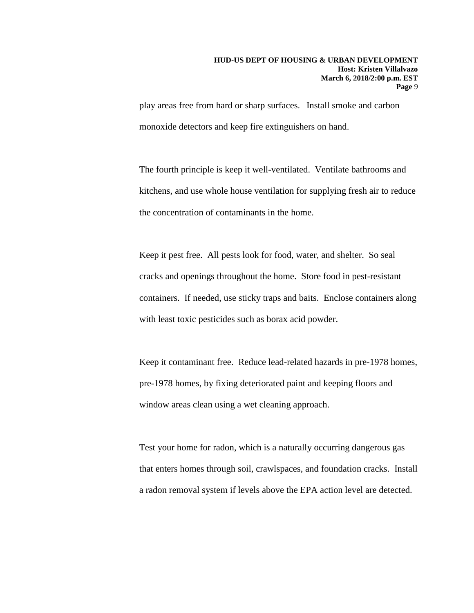play areas free from hard or sharp surfaces. Install smoke and carbon monoxide detectors and keep fire extinguishers on hand.

The fourth principle is keep it well-ventilated. Ventilate bathrooms and kitchens, and use whole house ventilation for supplying fresh air to reduce the concentration of contaminants in the home.

Keep it pest free. All pests look for food, water, and shelter. So seal cracks and openings throughout the home. Store food in pest-resistant containers. If needed, use sticky traps and baits. Enclose containers along with least toxic pesticides such as borax acid powder.

Keep it contaminant free. Reduce lead-related hazards in pre-1978 homes, pre-1978 homes, by fixing deteriorated paint and keeping floors and window areas clean using a wet cleaning approach.

Test your home for radon, which is a naturally occurring dangerous gas that enters homes through soil, crawlspaces, and foundation cracks. Install a radon removal system if levels above the EPA action level are detected.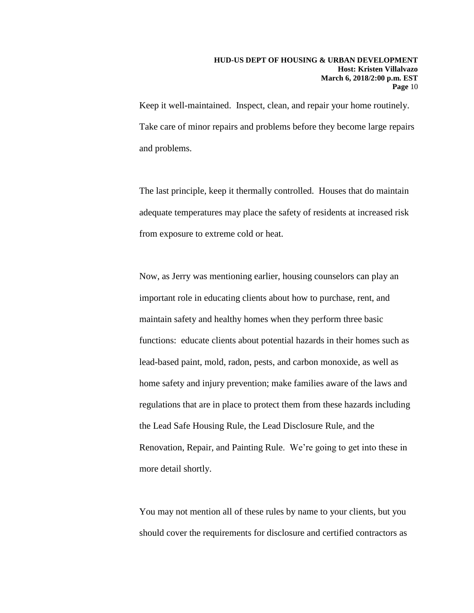Keep it well-maintained. Inspect, clean, and repair your home routinely. Take care of minor repairs and problems before they become large repairs and problems.

The last principle, keep it thermally controlled. Houses that do maintain adequate temperatures may place the safety of residents at increased risk from exposure to extreme cold or heat.

Now, as Jerry was mentioning earlier, housing counselors can play an important role in educating clients about how to purchase, rent, and maintain safety and healthy homes when they perform three basic functions: educate clients about potential hazards in their homes such as lead-based paint, mold, radon, pests, and carbon monoxide, as well as home safety and injury prevention; make families aware of the laws and regulations that are in place to protect them from these hazards including the Lead Safe Housing Rule, the Lead Disclosure Rule, and the Renovation, Repair, and Painting Rule. We're going to get into these in more detail shortly.

You may not mention all of these rules by name to your clients, but you should cover the requirements for disclosure and certified contractors as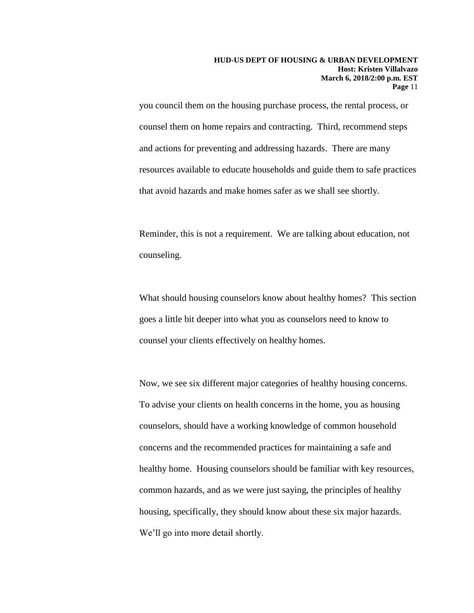you council them on the housing purchase process, the rental process, or counsel them on home repairs and contracting. Third, recommend steps and actions for preventing and addressing hazards. There are many resources available to educate households and guide them to safe practices that avoid hazards and make homes safer as we shall see shortly.

Reminder, this is not a requirement. We are talking about education, not counseling.

What should housing counselors know about healthy homes? This section goes a little bit deeper into what you as counselors need to know to counsel your clients effectively on healthy homes.

Now, we see six different major categories of healthy housing concerns. To advise your clients on health concerns in the home, you as housing counselors, should have a working knowledge of common household concerns and the recommended practices for maintaining a safe and healthy home. Housing counselors should be familiar with key resources, common hazards, and as we were just saying, the principles of healthy housing, specifically, they should know about these six major hazards. We'll go into more detail shortly.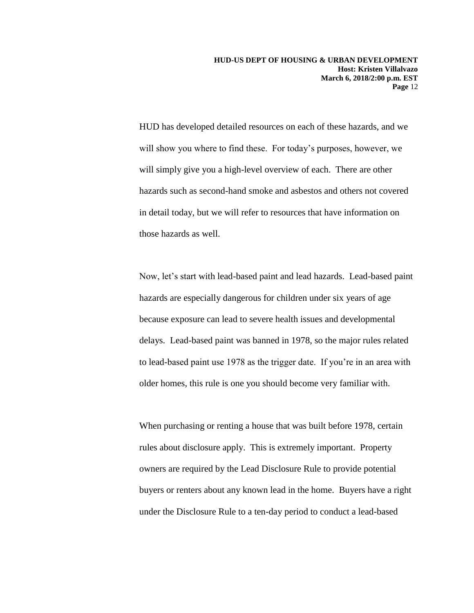HUD has developed detailed resources on each of these hazards, and we will show you where to find these. For today's purposes, however, we will simply give you a high-level overview of each. There are other hazards such as second-hand smoke and asbestos and others not covered in detail today, but we will refer to resources that have information on those hazards as well.

Now, let's start with lead-based paint and lead hazards. Lead-based paint hazards are especially dangerous for children under six years of age because exposure can lead to severe health issues and developmental delays. Lead-based paint was banned in 1978, so the major rules related to lead-based paint use 1978 as the trigger date. If you're in an area with older homes, this rule is one you should become very familiar with.

When purchasing or renting a house that was built before 1978, certain rules about disclosure apply. This is extremely important. Property owners are required by the Lead Disclosure Rule to provide potential buyers or renters about any known lead in the home. Buyers have a right under the Disclosure Rule to a ten-day period to conduct a lead-based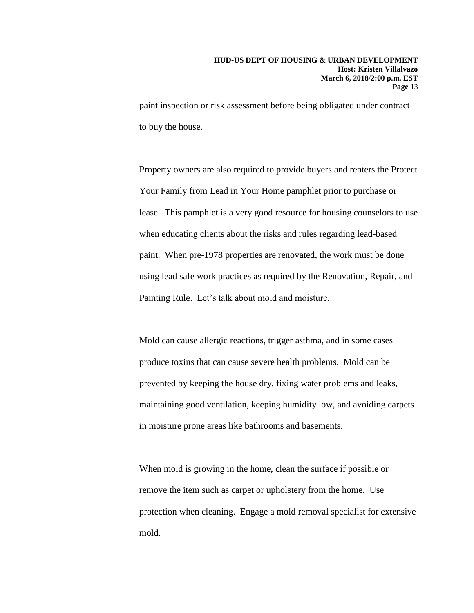paint inspection or risk assessment before being obligated under contract to buy the house.

Property owners are also required to provide buyers and renters the Protect Your Family from Lead in Your Home pamphlet prior to purchase or lease. This pamphlet is a very good resource for housing counselors to use when educating clients about the risks and rules regarding lead-based paint. When pre-1978 properties are renovated, the work must be done using lead safe work practices as required by the Renovation, Repair, and Painting Rule. Let's talk about mold and moisture.

Mold can cause allergic reactions, trigger asthma, and in some cases produce toxins that can cause severe health problems. Mold can be prevented by keeping the house dry, fixing water problems and leaks, maintaining good ventilation, keeping humidity low, and avoiding carpets in moisture prone areas like bathrooms and basements.

When mold is growing in the home, clean the surface if possible or remove the item such as carpet or upholstery from the home. Use protection when cleaning. Engage a mold removal specialist for extensive mold.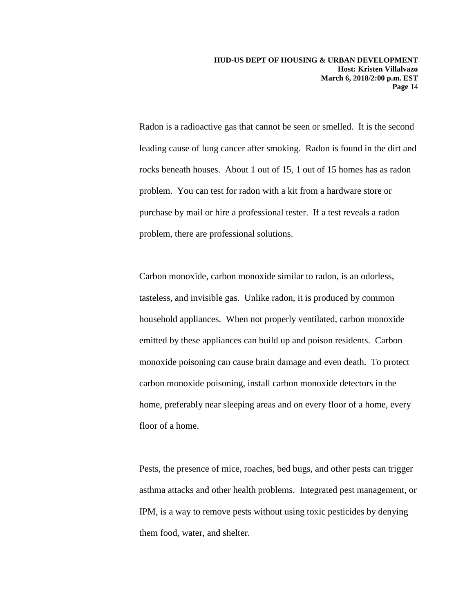Radon is a radioactive gas that cannot be seen or smelled. It is the second leading cause of lung cancer after smoking. Radon is found in the dirt and rocks beneath houses. About 1 out of 15, 1 out of 15 homes has as radon problem. You can test for radon with a kit from a hardware store or purchase by mail or hire a professional tester. If a test reveals a radon problem, there are professional solutions.

Carbon monoxide, carbon monoxide similar to radon, is an odorless, tasteless, and invisible gas. Unlike radon, it is produced by common household appliances. When not properly ventilated, carbon monoxide emitted by these appliances can build up and poison residents. Carbon monoxide poisoning can cause brain damage and even death. To protect carbon monoxide poisoning, install carbon monoxide detectors in the home, preferably near sleeping areas and on every floor of a home, every floor of a home.

Pests, the presence of mice, roaches, bed bugs, and other pests can trigger asthma attacks and other health problems. Integrated pest management, or IPM, is a way to remove pests without using toxic pesticides by denying them food, water, and shelter.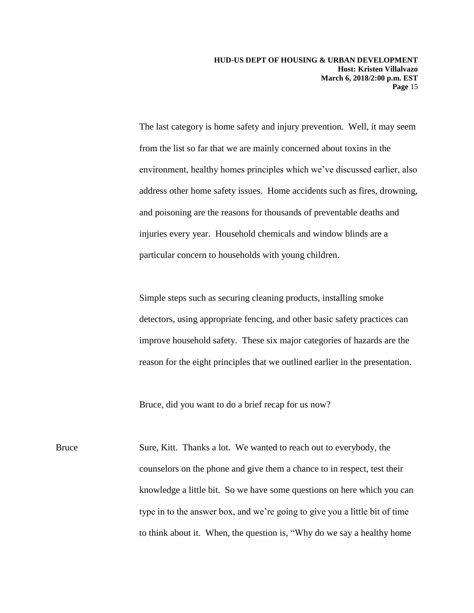The last category is home safety and injury prevention. Well, it may seem from the list so far that we are mainly concerned about toxins in the environment, healthy homes principles which we've discussed earlier, also address other home safety issues. Home accidents such as fires, drowning, and poisoning are the reasons for thousands of preventable deaths and injuries every year. Household chemicals and window blinds are a particular concern to households with young children.

Simple steps such as securing cleaning products, installing smoke detectors, using appropriate fencing, and other basic safety practices can improve household safety. These six major categories of hazards are the reason for the eight principles that we outlined earlier in the presentation.

Bruce, did you want to do a brief recap for us now?

Bruce Sure, Kitt. Thanks a lot. We wanted to reach out to everybody, the counselors on the phone and give them a chance to in respect, test their knowledge a little bit. So we have some questions on here which you can type in to the answer box, and we're going to give you a little bit of time to think about it. When, the question is, "Why do we say a healthy home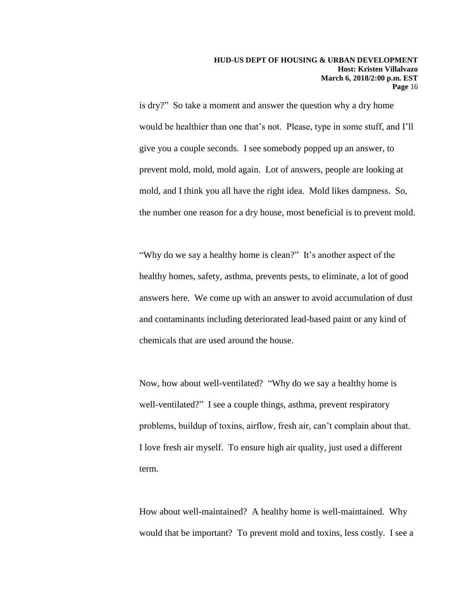is dry?" So take a moment and answer the question why a dry home would be healthier than one that's not. Please, type in some stuff, and I'll give you a couple seconds. I see somebody popped up an answer, to prevent mold, mold, mold again. Lot of answers, people are looking at mold, and I think you all have the right idea. Mold likes dampness. So, the number one reason for a dry house, most beneficial is to prevent mold.

"Why do we say a healthy home is clean?" It's another aspect of the healthy homes, safety, asthma, prevents pests, to eliminate, a lot of good answers here. We come up with an answer to avoid accumulation of dust and contaminants including deteriorated lead-based paint or any kind of chemicals that are used around the house.

Now, how about well-ventilated? "Why do we say a healthy home is well-ventilated?" I see a couple things, asthma, prevent respiratory problems, buildup of toxins, airflow, fresh air, can't complain about that. I love fresh air myself. To ensure high air quality, just used a different term.

How about well-maintained? A healthy home is well-maintained. Why would that be important? To prevent mold and toxins, less costly. I see a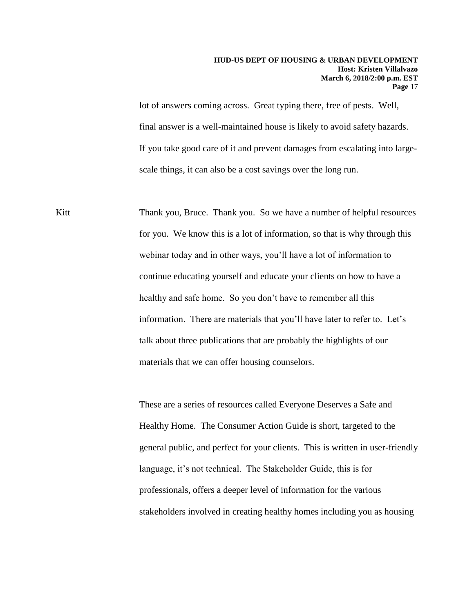lot of answers coming across. Great typing there, free of pests. Well, final answer is a well-maintained house is likely to avoid safety hazards. If you take good care of it and prevent damages from escalating into largescale things, it can also be a cost savings over the long run.

Kitt Thank you, Bruce. Thank you. So we have a number of helpful resources for you. We know this is a lot of information, so that is why through this webinar today and in other ways, you'll have a lot of information to continue educating yourself and educate your clients on how to have a healthy and safe home. So you don't have to remember all this information. There are materials that you'll have later to refer to. Let's talk about three publications that are probably the highlights of our materials that we can offer housing counselors.

> These are a series of resources called Everyone Deserves a Safe and Healthy Home. The Consumer Action Guide is short, targeted to the general public, and perfect for your clients. This is written in user-friendly language, it's not technical. The Stakeholder Guide, this is for professionals, offers a deeper level of information for the various stakeholders involved in creating healthy homes including you as housing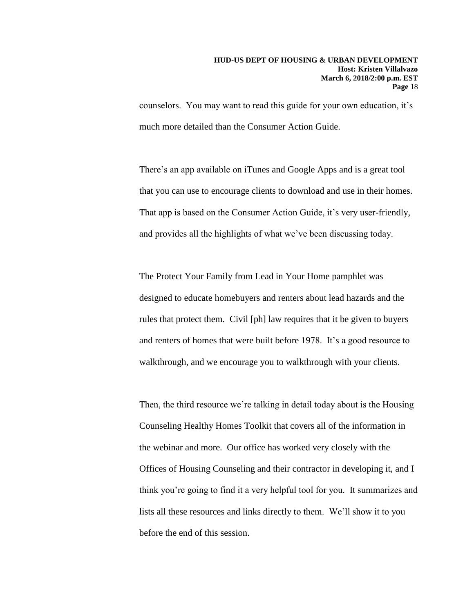counselors. You may want to read this guide for your own education, it's much more detailed than the Consumer Action Guide.

There's an app available on iTunes and Google Apps and is a great tool that you can use to encourage clients to download and use in their homes. That app is based on the Consumer Action Guide, it's very user-friendly, and provides all the highlights of what we've been discussing today.

The Protect Your Family from Lead in Your Home pamphlet was designed to educate homebuyers and renters about lead hazards and the rules that protect them. Civil [ph] law requires that it be given to buyers and renters of homes that were built before 1978. It's a good resource to walkthrough, and we encourage you to walkthrough with your clients.

Then, the third resource we're talking in detail today about is the Housing Counseling Healthy Homes Toolkit that covers all of the information in the webinar and more. Our office has worked very closely with the Offices of Housing Counseling and their contractor in developing it, and I think you're going to find it a very helpful tool for you. It summarizes and lists all these resources and links directly to them. We'll show it to you before the end of this session.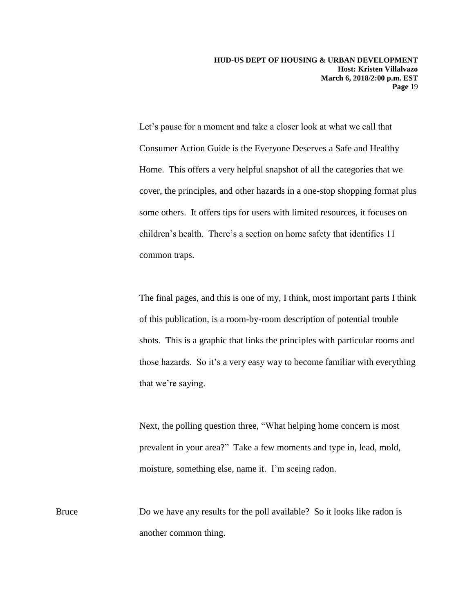Let's pause for a moment and take a closer look at what we call that Consumer Action Guide is the Everyone Deserves a Safe and Healthy Home. This offers a very helpful snapshot of all the categories that we cover, the principles, and other hazards in a one-stop shopping format plus some others. It offers tips for users with limited resources, it focuses on children's health. There's a section on home safety that identifies 11 common traps.

The final pages, and this is one of my, I think, most important parts I think of this publication, is a room-by-room description of potential trouble shots. This is a graphic that links the principles with particular rooms and those hazards. So it's a very easy way to become familiar with everything that we're saying.

Next, the polling question three, "What helping home concern is most prevalent in your area?" Take a few moments and type in, lead, mold, moisture, something else, name it. I'm seeing radon.

Bruce Do we have any results for the poll available? So it looks like radon is another common thing.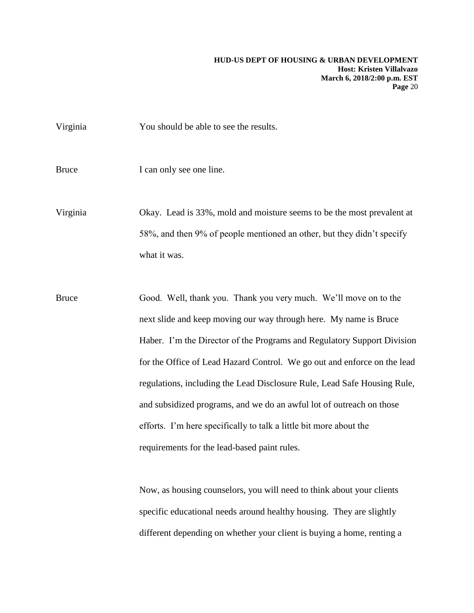Virginia You should be able to see the results.

Bruce I can only see one line.

Virginia Okay. Lead is 33%, mold and moisture seems to be the most prevalent at 58%, and then 9% of people mentioned an other, but they didn't specify what it was.

Bruce Good. Well, thank you. Thank you very much. We'll move on to the next slide and keep moving our way through here. My name is Bruce Haber. I'm the Director of the Programs and Regulatory Support Division for the Office of Lead Hazard Control. We go out and enforce on the lead regulations, including the Lead Disclosure Rule, Lead Safe Housing Rule, and subsidized programs, and we do an awful lot of outreach on those efforts. I'm here specifically to talk a little bit more about the requirements for the lead-based paint rules.

> Now, as housing counselors, you will need to think about your clients specific educational needs around healthy housing. They are slightly different depending on whether your client is buying a home, renting a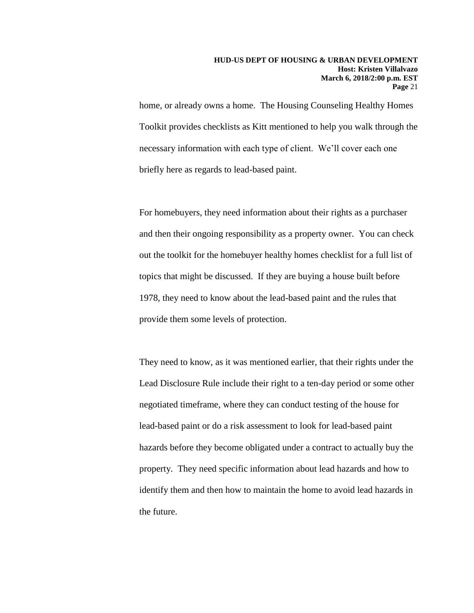home, or already owns a home. The Housing Counseling Healthy Homes Toolkit provides checklists as Kitt mentioned to help you walk through the necessary information with each type of client. We'll cover each one briefly here as regards to lead-based paint.

For homebuyers, they need information about their rights as a purchaser and then their ongoing responsibility as a property owner. You can check out the toolkit for the homebuyer healthy homes checklist for a full list of topics that might be discussed. If they are buying a house built before 1978, they need to know about the lead-based paint and the rules that provide them some levels of protection.

They need to know, as it was mentioned earlier, that their rights under the Lead Disclosure Rule include their right to a ten-day period or some other negotiated timeframe, where they can conduct testing of the house for lead-based paint or do a risk assessment to look for lead-based paint hazards before they become obligated under a contract to actually buy the property. They need specific information about lead hazards and how to identify them and then how to maintain the home to avoid lead hazards in the future.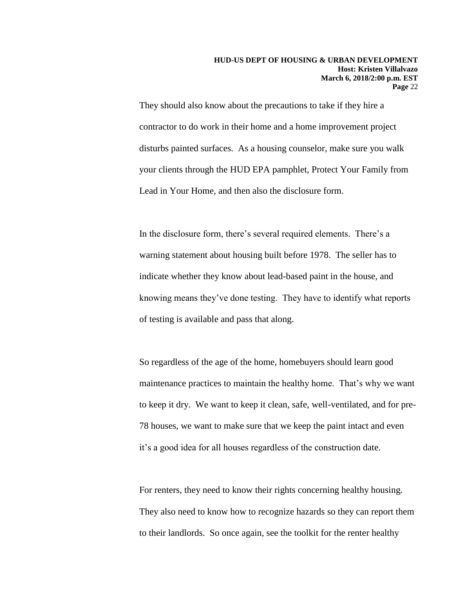They should also know about the precautions to take if they hire a contractor to do work in their home and a home improvement project disturbs painted surfaces. As a housing counselor, make sure you walk your clients through the HUD EPA pamphlet, Protect Your Family from Lead in Your Home, and then also the disclosure form.

In the disclosure form, there's several required elements. There's a warning statement about housing built before 1978. The seller has to indicate whether they know about lead-based paint in the house, and knowing means they've done testing. They have to identify what reports of testing is available and pass that along.

So regardless of the age of the home, homebuyers should learn good maintenance practices to maintain the healthy home. That's why we want to keep it dry. We want to keep it clean, safe, well-ventilated, and for pre-78 houses, we want to make sure that we keep the paint intact and even it's a good idea for all houses regardless of the construction date.

For renters, they need to know their rights concerning healthy housing. They also need to know how to recognize hazards so they can report them to their landlords. So once again, see the toolkit for the renter healthy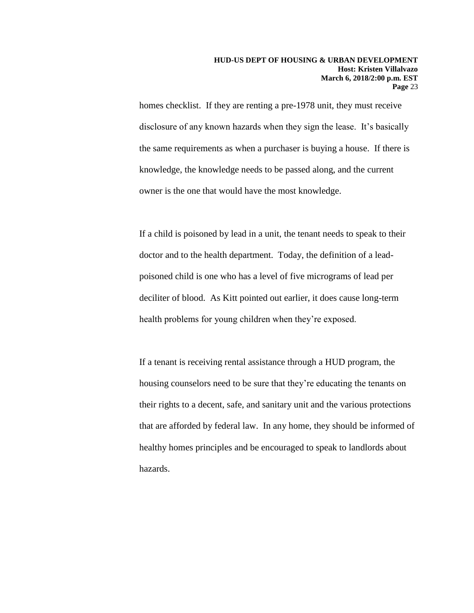homes checklist. If they are renting a pre-1978 unit, they must receive disclosure of any known hazards when they sign the lease. It's basically the same requirements as when a purchaser is buying a house. If there is knowledge, the knowledge needs to be passed along, and the current owner is the one that would have the most knowledge.

If a child is poisoned by lead in a unit, the tenant needs to speak to their doctor and to the health department. Today, the definition of a leadpoisoned child is one who has a level of five micrograms of lead per deciliter of blood. As Kitt pointed out earlier, it does cause long-term health problems for young children when they're exposed.

If a tenant is receiving rental assistance through a HUD program, the housing counselors need to be sure that they're educating the tenants on their rights to a decent, safe, and sanitary unit and the various protections that are afforded by federal law. In any home, they should be informed of healthy homes principles and be encouraged to speak to landlords about hazards.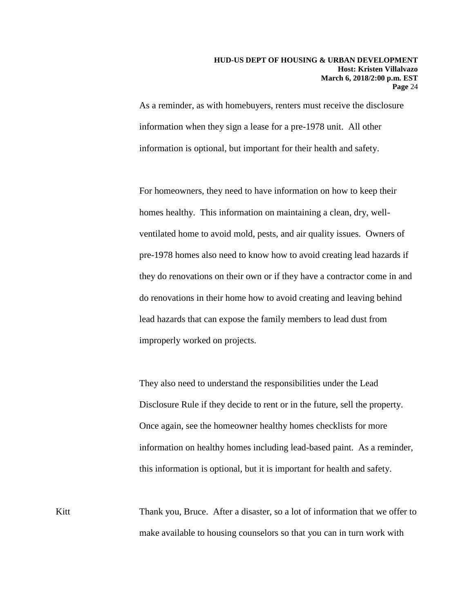As a reminder, as with homebuyers, renters must receive the disclosure information when they sign a lease for a pre-1978 unit. All other information is optional, but important for their health and safety.

For homeowners, they need to have information on how to keep their homes healthy. This information on maintaining a clean, dry, wellventilated home to avoid mold, pests, and air quality issues. Owners of pre-1978 homes also need to know how to avoid creating lead hazards if they do renovations on their own or if they have a contractor come in and do renovations in their home how to avoid creating and leaving behind lead hazards that can expose the family members to lead dust from improperly worked on projects.

They also need to understand the responsibilities under the Lead Disclosure Rule if they decide to rent or in the future, sell the property. Once again, see the homeowner healthy homes checklists for more information on healthy homes including lead-based paint. As a reminder, this information is optional, but it is important for health and safety.

Kitt Thank you, Bruce. After a disaster, so a lot of information that we offer to make available to housing counselors so that you can in turn work with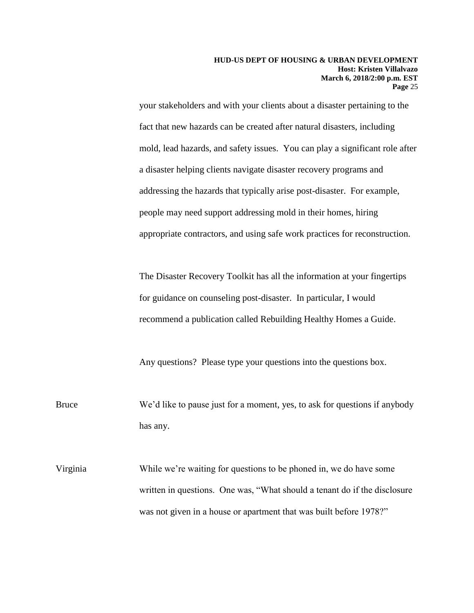your stakeholders and with your clients about a disaster pertaining to the fact that new hazards can be created after natural disasters, including mold, lead hazards, and safety issues. You can play a significant role after a disaster helping clients navigate disaster recovery programs and addressing the hazards that typically arise post-disaster. For example, people may need support addressing mold in their homes, hiring appropriate contractors, and using safe work practices for reconstruction.

The Disaster Recovery Toolkit has all the information at your fingertips for guidance on counseling post-disaster. In particular, I would recommend a publication called Rebuilding Healthy Homes a Guide.

Any questions? Please type your questions into the questions box.

Bruce We'd like to pause just for a moment, yes, to ask for questions if anybody has any.

Virginia While we're waiting for questions to be phoned in, we do have some written in questions. One was, "What should a tenant do if the disclosure was not given in a house or apartment that was built before 1978?"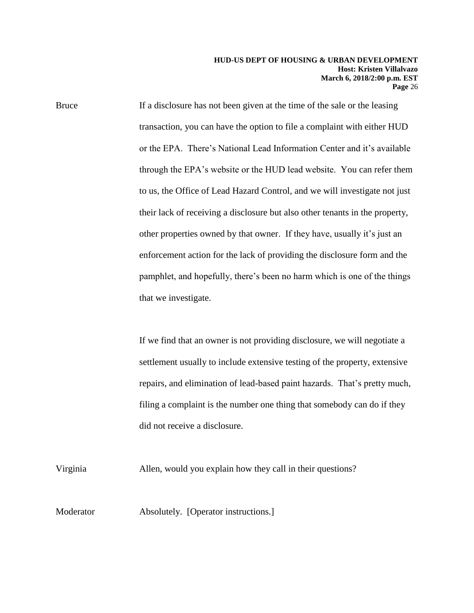Bruce If a disclosure has not been given at the time of the sale or the leasing transaction, you can have the option to file a complaint with either HUD or the EPA. There's National Lead Information Center and it's available through the EPA's website or the HUD lead website. You can refer them to us, the Office of Lead Hazard Control, and we will investigate not just their lack of receiving a disclosure but also other tenants in the property, other properties owned by that owner. If they have, usually it's just an enforcement action for the lack of providing the disclosure form and the pamphlet, and hopefully, there's been no harm which is one of the things that we investigate.

> If we find that an owner is not providing disclosure, we will negotiate a settlement usually to include extensive testing of the property, extensive repairs, and elimination of lead-based paint hazards. That's pretty much, filing a complaint is the number one thing that somebody can do if they did not receive a disclosure.

Virginia Allen, would you explain how they call in their questions?

Moderator **Absolutely.** [Operator instructions.]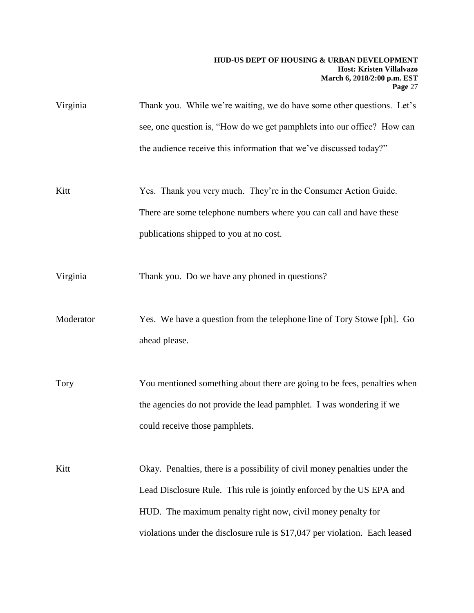| Virginia    | Thank you. While we're waiting, we do have some other questions. Let's<br>see, one question is, "How do we get pamphlets into our office? How can<br>the audience receive this information that we've discussed today?"                                                                           |
|-------------|---------------------------------------------------------------------------------------------------------------------------------------------------------------------------------------------------------------------------------------------------------------------------------------------------|
| Kitt        | Yes. Thank you very much. They're in the Consumer Action Guide.<br>There are some telephone numbers where you can call and have these<br>publications shipped to you at no cost.                                                                                                                  |
| Virginia    | Thank you. Do we have any phoned in questions?                                                                                                                                                                                                                                                    |
| Moderator   | Yes. We have a question from the telephone line of Tory Stowe [ph]. Go<br>ahead please.                                                                                                                                                                                                           |
| <b>Tory</b> | You mentioned something about there are going to be fees, penalties when<br>the agencies do not provide the lead pamphlet. I was wondering if we<br>could receive those pamphlets.                                                                                                                |
| Kitt        | Okay. Penalties, there is a possibility of civil money penalties under the<br>Lead Disclosure Rule. This rule is jointly enforced by the US EPA and<br>HUD. The maximum penalty right now, civil money penalty for<br>violations under the disclosure rule is \$17,047 per violation. Each leased |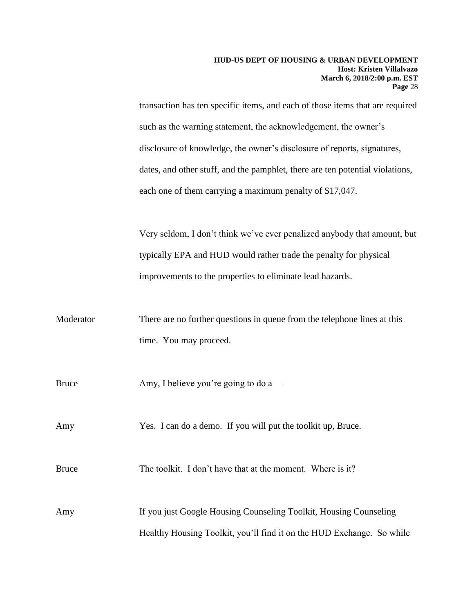transaction has ten specific items, and each of those items that are required such as the warning statement, the acknowledgement, the owner's disclosure of knowledge, the owner's disclosure of reports, signatures, dates, and other stuff, and the pamphlet, there are ten potential violations, each one of them carrying a maximum penalty of \$17,047.

Very seldom, I don't think we've ever penalized anybody that amount, but typically EPA and HUD would rather trade the penalty for physical improvements to the properties to eliminate lead hazards.

| Moderator    | There are no further questions in queue from the telephone lines at this |
|--------------|--------------------------------------------------------------------------|
|              | time. You may proceed.                                                   |
| <b>Bruce</b> | Amy, I believe you're going to do a—                                     |
| Amy          | Yes. I can do a demo. If you will put the toolkit up, Bruce.             |
| <b>Bruce</b> | The toolkit. I don't have that at the moment. Where is it?               |
| Amy          | If you just Google Housing Counseling Toolkit, Housing Counseling        |
|              | Healthy Housing Toolkit, you'll find it on the HUD Exchange. So while    |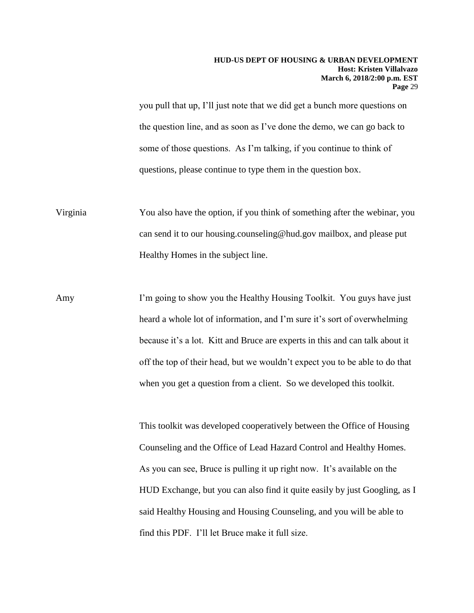you pull that up, I'll just note that we did get a bunch more questions on the question line, and as soon as I've done the demo, we can go back to some of those questions. As I'm talking, if you continue to think of questions, please continue to type them in the question box.

Virginia You also have the option, if you think of something after the webinar, you can send it to our housing.counseling@hud.gov mailbox, and please put Healthy Homes in the subject line.

Amy I'm going to show you the Healthy Housing Toolkit. You guys have just heard a whole lot of information, and I'm sure it's sort of overwhelming because it's a lot. Kitt and Bruce are experts in this and can talk about it off the top of their head, but we wouldn't expect you to be able to do that when you get a question from a client. So we developed this toolkit.

> This toolkit was developed cooperatively between the Office of Housing Counseling and the Office of Lead Hazard Control and Healthy Homes. As you can see, Bruce is pulling it up right now. It's available on the HUD Exchange, but you can also find it quite easily by just Googling, as I said Healthy Housing and Housing Counseling, and you will be able to find this PDF. I'll let Bruce make it full size.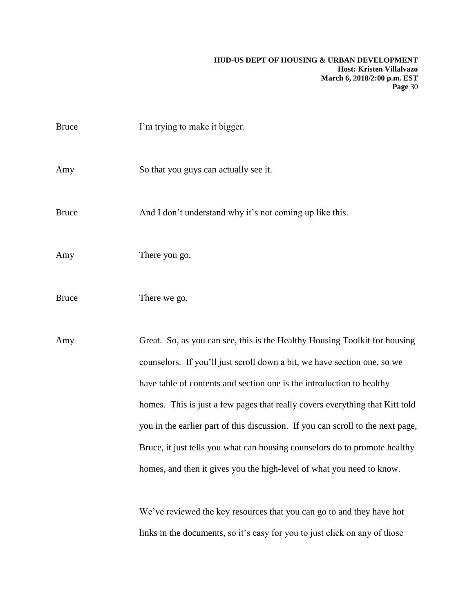| <b>Bruce</b> | I'm trying to make it bigger.                                                                                                                                                                                                                                                                                                                                                                                                                                                                                                                             |
|--------------|-----------------------------------------------------------------------------------------------------------------------------------------------------------------------------------------------------------------------------------------------------------------------------------------------------------------------------------------------------------------------------------------------------------------------------------------------------------------------------------------------------------------------------------------------------------|
| Amy          | So that you guys can actually see it.                                                                                                                                                                                                                                                                                                                                                                                                                                                                                                                     |
| <b>Bruce</b> | And I don't understand why it's not coming up like this.                                                                                                                                                                                                                                                                                                                                                                                                                                                                                                  |
| Amy          | There you go.                                                                                                                                                                                                                                                                                                                                                                                                                                                                                                                                             |
| <b>Bruce</b> | There we go.                                                                                                                                                                                                                                                                                                                                                                                                                                                                                                                                              |
| Amy          | Great. So, as you can see, this is the Healthy Housing Toolkit for housing<br>counselors. If you'll just scroll down a bit, we have section one, so we<br>have table of contents and section one is the introduction to healthy<br>homes. This is just a few pages that really covers everything that Kitt told<br>you in the earlier part of this discussion. If you can scroll to the next page,<br>Bruce, it just tells you what can housing counselors do to promote healthy<br>homes, and then it gives you the high-level of what you need to know. |

We've reviewed the key resources that you can go to and they have hot links in the documents, so it's easy for you to just click on any of those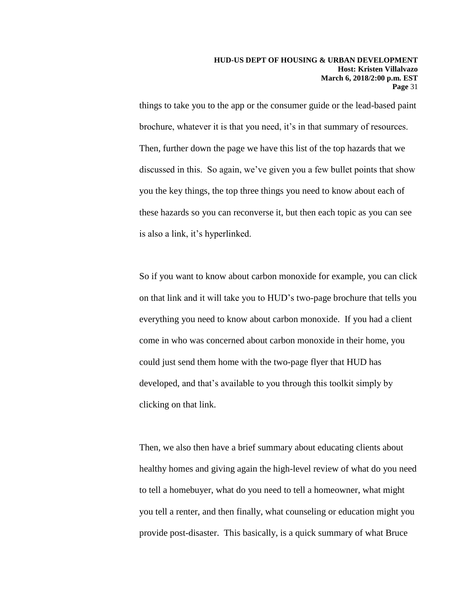things to take you to the app or the consumer guide or the lead-based paint brochure, whatever it is that you need, it's in that summary of resources. Then, further down the page we have this list of the top hazards that we discussed in this. So again, we've given you a few bullet points that show you the key things, the top three things you need to know about each of these hazards so you can reconverse it, but then each topic as you can see is also a link, it's hyperlinked.

So if you want to know about carbon monoxide for example, you can click on that link and it will take you to HUD's two-page brochure that tells you everything you need to know about carbon monoxide. If you had a client come in who was concerned about carbon monoxide in their home, you could just send them home with the two-page flyer that HUD has developed, and that's available to you through this toolkit simply by clicking on that link.

Then, we also then have a brief summary about educating clients about healthy homes and giving again the high-level review of what do you need to tell a homebuyer, what do you need to tell a homeowner, what might you tell a renter, and then finally, what counseling or education might you provide post-disaster. This basically, is a quick summary of what Bruce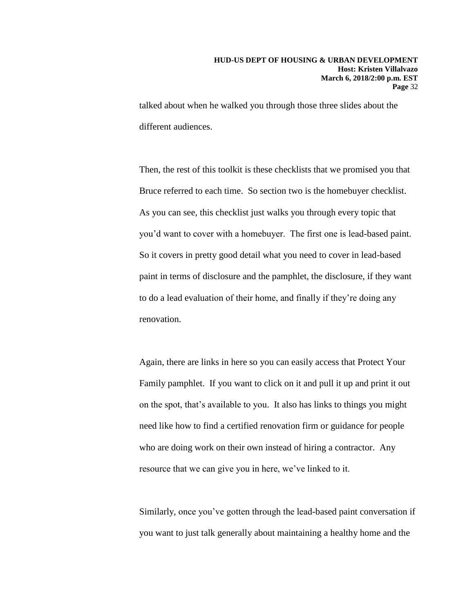talked about when he walked you through those three slides about the different audiences.

Then, the rest of this toolkit is these checklists that we promised you that Bruce referred to each time. So section two is the homebuyer checklist. As you can see, this checklist just walks you through every topic that you'd want to cover with a homebuyer. The first one is lead-based paint. So it covers in pretty good detail what you need to cover in lead-based paint in terms of disclosure and the pamphlet, the disclosure, if they want to do a lead evaluation of their home, and finally if they're doing any renovation.

Again, there are links in here so you can easily access that Protect Your Family pamphlet. If you want to click on it and pull it up and print it out on the spot, that's available to you. It also has links to things you might need like how to find a certified renovation firm or guidance for people who are doing work on their own instead of hiring a contractor. Any resource that we can give you in here, we've linked to it.

Similarly, once you've gotten through the lead-based paint conversation if you want to just talk generally about maintaining a healthy home and the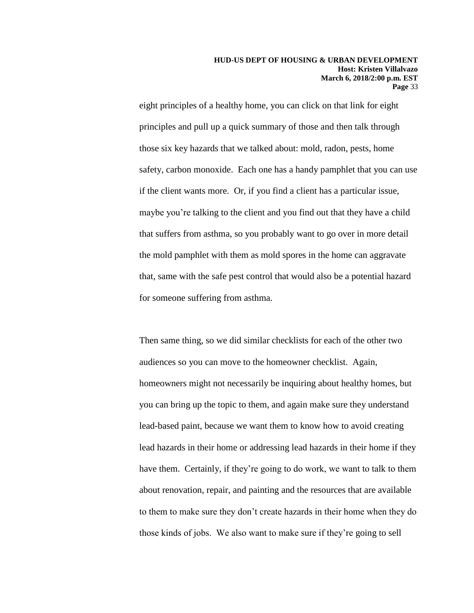eight principles of a healthy home, you can click on that link for eight principles and pull up a quick summary of those and then talk through those six key hazards that we talked about: mold, radon, pests, home safety, carbon monoxide. Each one has a handy pamphlet that you can use if the client wants more. Or, if you find a client has a particular issue, maybe you're talking to the client and you find out that they have a child that suffers from asthma, so you probably want to go over in more detail the mold pamphlet with them as mold spores in the home can aggravate that, same with the safe pest control that would also be a potential hazard for someone suffering from asthma.

Then same thing, so we did similar checklists for each of the other two audiences so you can move to the homeowner checklist. Again, homeowners might not necessarily be inquiring about healthy homes, but you can bring up the topic to them, and again make sure they understand lead-based paint, because we want them to know how to avoid creating lead hazards in their home or addressing lead hazards in their home if they have them. Certainly, if they're going to do work, we want to talk to them about renovation, repair, and painting and the resources that are available to them to make sure they don't create hazards in their home when they do those kinds of jobs. We also want to make sure if they're going to sell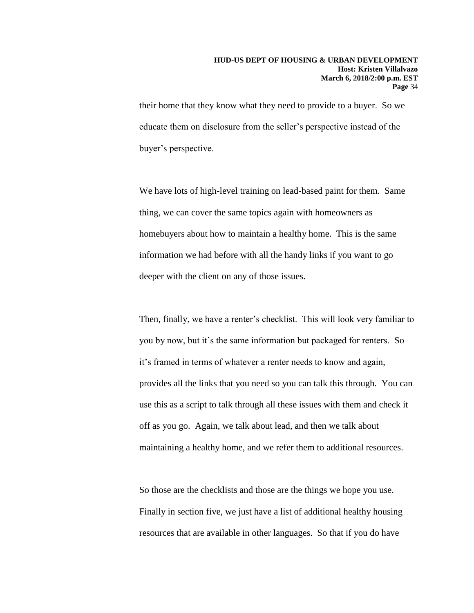their home that they know what they need to provide to a buyer. So we educate them on disclosure from the seller's perspective instead of the buyer's perspective.

We have lots of high-level training on lead-based paint for them. Same thing, we can cover the same topics again with homeowners as homebuyers about how to maintain a healthy home. This is the same information we had before with all the handy links if you want to go deeper with the client on any of those issues.

Then, finally, we have a renter's checklist. This will look very familiar to you by now, but it's the same information but packaged for renters. So it's framed in terms of whatever a renter needs to know and again, provides all the links that you need so you can talk this through. You can use this as a script to talk through all these issues with them and check it off as you go. Again, we talk about lead, and then we talk about maintaining a healthy home, and we refer them to additional resources.

So those are the checklists and those are the things we hope you use. Finally in section five, we just have a list of additional healthy housing resources that are available in other languages. So that if you do have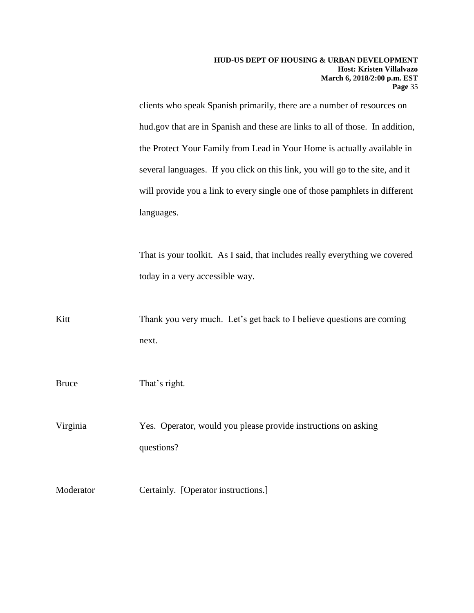clients who speak Spanish primarily, there are a number of resources on hud.gov that are in Spanish and these are links to all of those. In addition, the Protect Your Family from Lead in Your Home is actually available in several languages. If you click on this link, you will go to the site, and it will provide you a link to every single one of those pamphlets in different languages.

That is your toolkit. As I said, that includes really everything we covered today in a very accessible way.

Kitt Thank you very much. Let's get back to I believe questions are coming next.

Bruce That's right.

Virginia Yes. Operator, would you please provide instructions on asking questions?

Moderator Certainly. [Operator instructions.]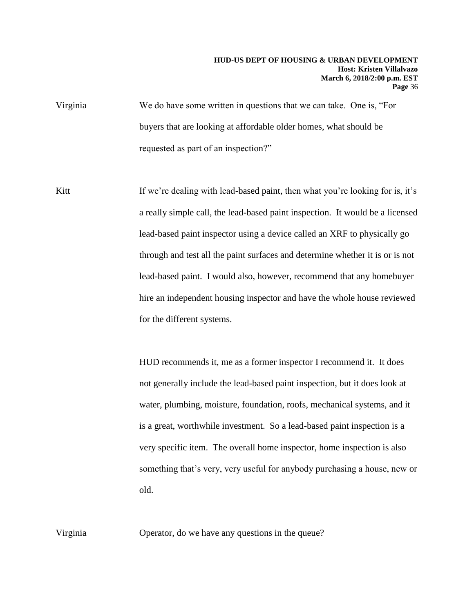- Virginia We do have some written in questions that we can take. One is, "For buyers that are looking at affordable older homes, what should be requested as part of an inspection?"
- Kitt If we're dealing with lead-based paint, then what you're looking for is, it's a really simple call, the lead-based paint inspection. It would be a licensed lead-based paint inspector using a device called an XRF to physically go through and test all the paint surfaces and determine whether it is or is not lead-based paint. I would also, however, recommend that any homebuyer hire an independent housing inspector and have the whole house reviewed for the different systems.

HUD recommends it, me as a former inspector I recommend it. It does not generally include the lead-based paint inspection, but it does look at water, plumbing, moisture, foundation, roofs, mechanical systems, and it is a great, worthwhile investment. So a lead-based paint inspection is a very specific item. The overall home inspector, home inspection is also something that's very, very useful for anybody purchasing a house, new or old.

Virginia Operator, do we have any questions in the queue?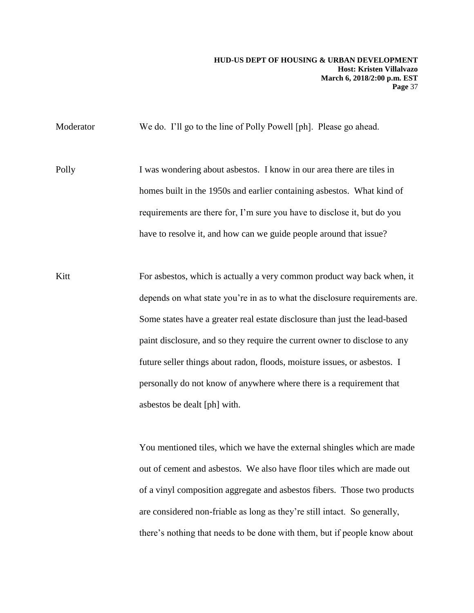Moderator We do. I'll go to the line of Polly Powell [ph]. Please go ahead.

Polly I was wondering about asbestos. I know in our area there are tiles in homes built in the 1950s and earlier containing asbestos. What kind of requirements are there for, I'm sure you have to disclose it, but do you have to resolve it, and how can we guide people around that issue?

Kitt For asbestos, which is actually a very common product way back when, it depends on what state you're in as to what the disclosure requirements are. Some states have a greater real estate disclosure than just the lead-based paint disclosure, and so they require the current owner to disclose to any future seller things about radon, floods, moisture issues, or asbestos. I personally do not know of anywhere where there is a requirement that asbestos be dealt [ph] with.

> You mentioned tiles, which we have the external shingles which are made out of cement and asbestos. We also have floor tiles which are made out of a vinyl composition aggregate and asbestos fibers. Those two products are considered non-friable as long as they're still intact. So generally, there's nothing that needs to be done with them, but if people know about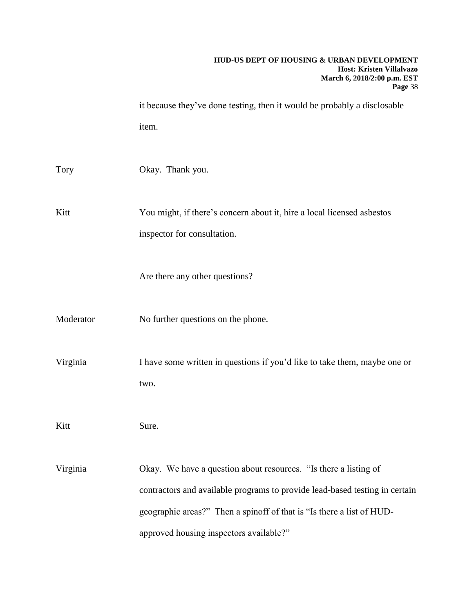# **HUD-US DEPT OF HOUSING & URBAN DEVELOPMENT Host: Kristen Villalvazo March 6, 2018/2:00 p.m. EST Page** 38 it because they've done testing, then it would be probably a disclosable item. Tory Okay. Thank you. Kitt You might, if there's concern about it, hire a local licensed asbestos inspector for consultation. Are there any other questions? Moderator No further questions on the phone. Virginia I have some written in questions if you'd like to take them, maybe one or two. Kitt Sure. Virginia Okay. We have a question about resources. "Is there a listing of contractors and available programs to provide lead-based testing in certain geographic areas?" Then a spinoff of that is "Is there a list of HUDapproved housing inspectors available?"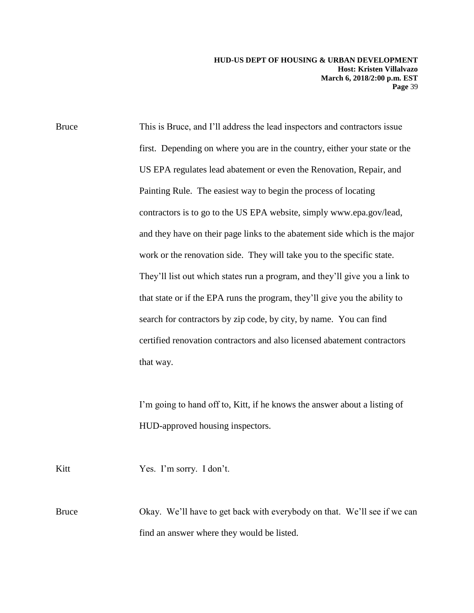Bruce This is Bruce, and I'll address the lead inspectors and contractors issue first. Depending on where you are in the country, either your state or the US EPA regulates lead abatement or even the Renovation, Repair, and Painting Rule. The easiest way to begin the process of locating contractors is to go to the US EPA website, simply www.epa.gov/lead, and they have on their page links to the abatement side which is the major work or the renovation side. They will take you to the specific state. They'll list out which states run a program, and they'll give you a link to that state or if the EPA runs the program, they'll give you the ability to search for contractors by zip code, by city, by name. You can find certified renovation contractors and also licensed abatement contractors that way.

> I'm going to hand off to, Kitt, if he knows the answer about a listing of HUD-approved housing inspectors.

Kitt Yes. I'm sorry. I don't.

Bruce Okay. We'll have to get back with everybody on that. We'll see if we can find an answer where they would be listed.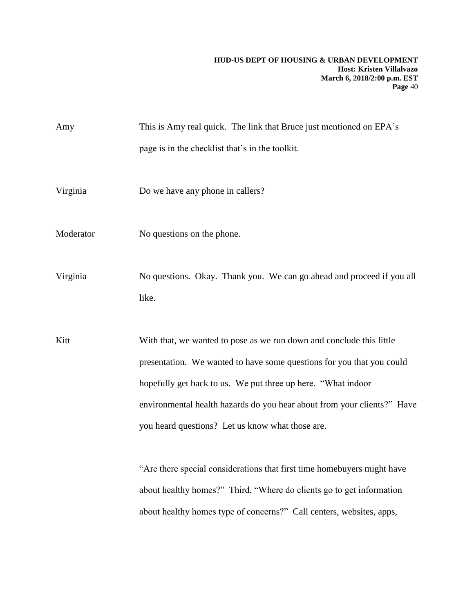Amy This is Amy real quick. The link that Bruce just mentioned on EPA's page is in the checklist that's in the toolkit. Virginia Do we have any phone in callers? Moderator No questions on the phone. Virginia No questions. Okay. Thank you. We can go ahead and proceed if you all like. Kitt With that, we wanted to pose as we run down and conclude this little presentation. We wanted to have some questions for you that you could hopefully get back to us. We put three up here. "What indoor environmental health hazards do you hear about from your clients?" Have you heard questions? Let us know what those are.

> "Are there special considerations that first time homebuyers might have about healthy homes?" Third, "Where do clients go to get information about healthy homes type of concerns?" Call centers, websites, apps,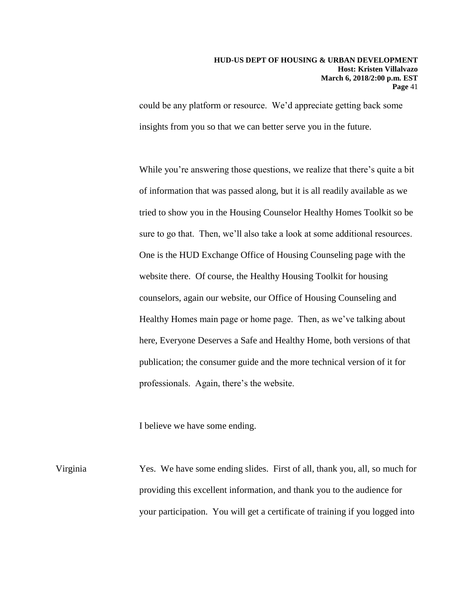could be any platform or resource. We'd appreciate getting back some insights from you so that we can better serve you in the future.

While you're answering those questions, we realize that there's quite a bit of information that was passed along, but it is all readily available as we tried to show you in the Housing Counselor Healthy Homes Toolkit so be sure to go that. Then, we'll also take a look at some additional resources. One is the HUD Exchange Office of Housing Counseling page with the website there. Of course, the Healthy Housing Toolkit for housing counselors, again our website, our Office of Housing Counseling and Healthy Homes main page or home page. Then, as we've talking about here, Everyone Deserves a Safe and Healthy Home, both versions of that publication; the consumer guide and the more technical version of it for professionals. Again, there's the website.

I believe we have some ending.

Virginia Yes. We have some ending slides. First of all, thank you, all, so much for providing this excellent information, and thank you to the audience for your participation. You will get a certificate of training if you logged into